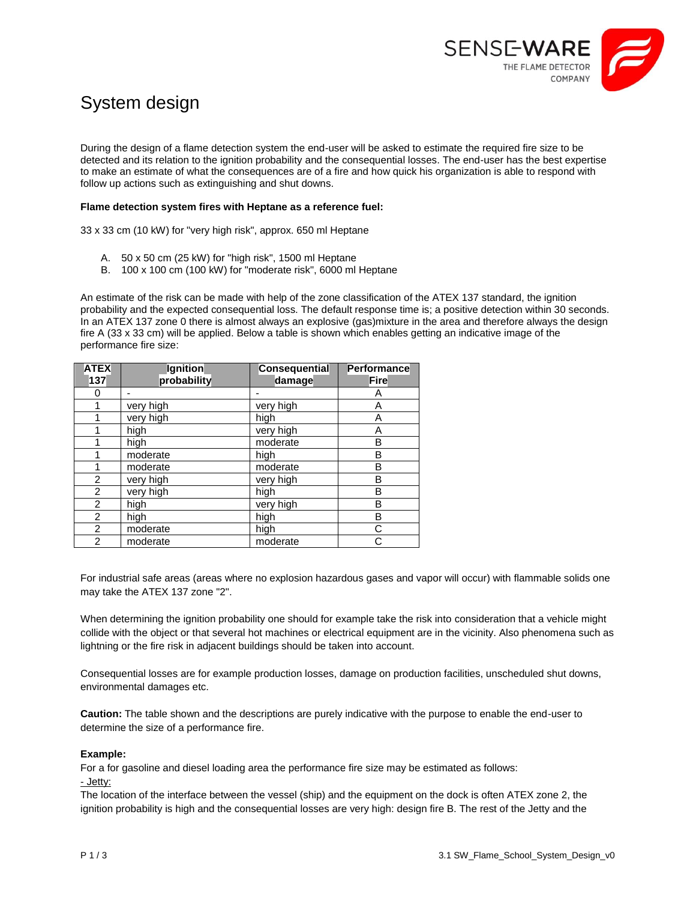

# System design

During the design of a flame detection system the end-user will be asked to estimate the required fire size to be detected and its relation to the ignition probability and the consequential losses. The end-user has the best expertise to make an estimate of what the consequences are of a fire and how quick his organization is able to respond with follow up actions such as extinguishing and shut downs.

### **Flame detection system fires with Heptane as a reference fuel:**

33 x 33 cm (10 kW) for "very high risk", approx. 650 ml Heptane

- A. 50 x 50 cm (25 kW) for "high risk", 1500 ml Heptane
- B. 100 x 100 cm (100 kW) for "moderate risk", 6000 ml Heptane

An estimate of the risk can be made with help of the zone classification of the ATEX 137 standard, the ignition probability and the expected consequential loss. The default response time is; a positive detection within 30 seconds. In an ATEX 137 zone 0 there is almost always an explosive (gas)mixture in the area and therefore always the design fire A (33 x 33 cm) will be applied. Below a table is shown which enables getting an indicative image of the performance fire size:

| <b>ATEX</b><br>137 | Ignition<br>probability | <b>Consequential</b><br>damage | Performance<br><b>Fire</b> |
|--------------------|-------------------------|--------------------------------|----------------------------|
| 0                  |                         |                                | Α                          |
|                    | very high               | very high                      | Α                          |
|                    | very high               | high                           | A                          |
|                    | high                    | very high                      | Α                          |
|                    | high                    | moderate                       | B                          |
|                    | moderate                | high                           | B                          |
|                    | moderate                | moderate                       | B                          |
| 2                  | very high               | very high                      | B                          |
| $\overline{2}$     | very high               | high                           | B                          |
| $\overline{2}$     | high                    | very high                      | B                          |
| $\overline{2}$     | high                    | high                           | B                          |
| $\overline{2}$     | moderate                | high                           | C                          |
| $\overline{2}$     | moderate                | moderate                       |                            |

For industrial safe areas (areas where no explosion hazardous gases and vapor will occur) with flammable solids one may take the ATEX 137 zone "2".

When determining the ignition probability one should for example take the risk into consideration that a vehicle might collide with the object or that several hot machines or electrical equipment are in the vicinity. Also phenomena such as lightning or the fire risk in adjacent buildings should be taken into account.

Consequential losses are for example production losses, damage on production facilities, unscheduled shut downs, environmental damages etc.

**Caution:** The table shown and the descriptions are purely indicative with the purpose to enable the end-user to determine the size of a performance fire.

### **Example:**

For a for gasoline and diesel loading area the performance fire size may be estimated as follows: - Jetty:

The location of the interface between the vessel (ship) and the equipment on the dock is often ATEX zone 2, the ignition probability is high and the consequential losses are very high: design fire B. The rest of the Jetty and the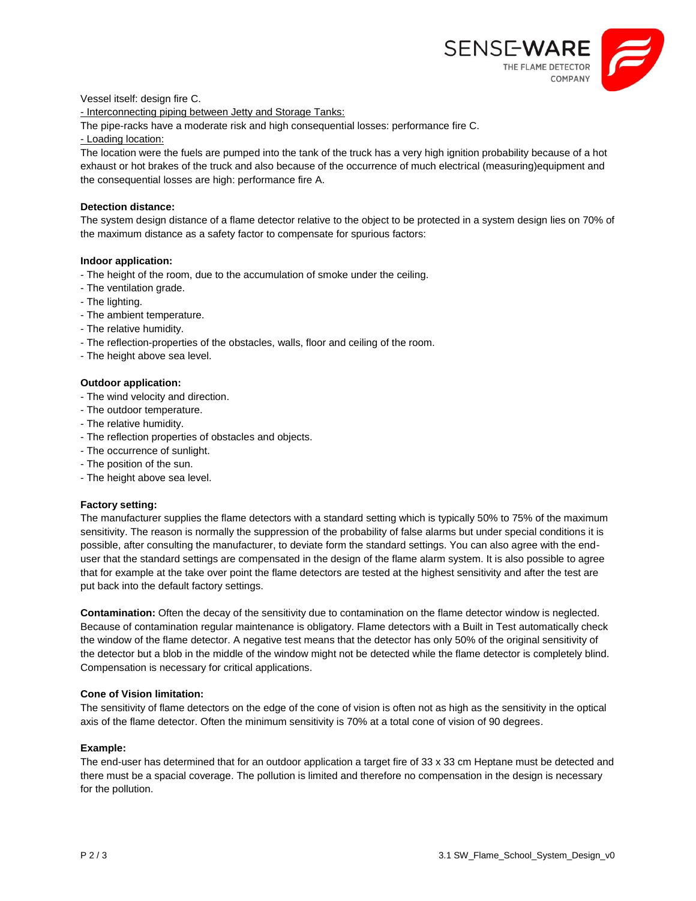

Vessel itself: design fire C.

- Interconnecting piping between Jetty and Storage Tanks:

The pipe-racks have a moderate risk and high consequential losses: performance fire C.

- Loading location:

The location were the fuels are pumped into the tank of the truck has a very high ignition probability because of a hot exhaust or hot brakes of the truck and also because of the occurrence of much electrical (measuring)equipment and the consequential losses are high: performance fire A.

### **Detection distance:**

The system design distance of a flame detector relative to the object to be protected in a system design lies on 70% of the maximum distance as a safety factor to compensate for spurious factors:

### **Indoor application:**

- The height of the room, due to the accumulation of smoke under the ceiling.
- The ventilation grade.
- The lighting.
- The ambient temperature.
- The relative humidity.
- The reflection-properties of the obstacles, walls, floor and ceiling of the room.
- The height above sea level.

## **Outdoor application:**

- The wind velocity and direction.
- The outdoor temperature.
- The relative humidity.
- The reflection properties of obstacles and objects.
- The occurrence of sunlight.
- The position of the sun.
- The height above sea level.

### **Factory setting:**

The manufacturer supplies the flame detectors with a standard setting which is typically 50% to 75% of the maximum sensitivity. The reason is normally the suppression of the probability of false alarms but under special conditions it is possible, after consulting the manufacturer, to deviate form the standard settings. You can also agree with the enduser that the standard settings are compensated in the design of the flame alarm system. It is also possible to agree that for example at the take over point the flame detectors are tested at the highest sensitivity and after the test are put back into the default factory settings.

**Contamination:** Often the decay of the sensitivity due to contamination on the flame detector window is neglected. Because of contamination regular maintenance is obligatory. Flame detectors with a Built in Test automatically check the window of the flame detector. A negative test means that the detector has only 50% of the original sensitivity of the detector but a blob in the middle of the window might not be detected while the flame detector is completely blind. Compensation is necessary for critical applications.

### **Cone of Vision limitation:**

The sensitivity of flame detectors on the edge of the cone of vision is often not as high as the sensitivity in the optical axis of the flame detector. Often the minimum sensitivity is 70% at a total cone of vision of 90 degrees.

### **Example:**

The end-user has determined that for an outdoor application a target fire of 33 x 33 cm Heptane must be detected and there must be a spacial coverage. The pollution is limited and therefore no compensation in the design is necessary for the pollution.